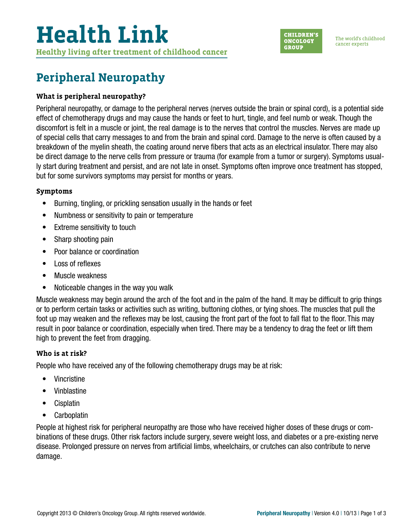

# **Peripheral Neuropathy**

## **What is peripheral neuropathy?**

Peripheral neuropathy, or damage to the peripheral nerves (nerves outside the brain or spinal cord), is a potential side effect of chemotherapy drugs and may cause the hands or feet to hurt, tingle, and feel numb or weak. Though the discomfort is felt in a muscle or joint, the real damage is to the nerves that control the muscles. Nerves are made up of special cells that carry messages to and from the brain and spinal cord. Damage to the nerve is often caused by a breakdown of the myelin sheath, the coating around nerve fibers that acts as an electrical insulator. There may also be direct damage to the nerve cells from pressure or trauma (for example from a tumor or surgery). Symptoms usually start during treatment and persist, and are not late in onset. Symptoms often improve once treatment has stopped, but for some survivors symptoms may persist for months or years.

### **Symptoms**

- Burning, tingling, or prickling sensation usually in the hands or feet
- Numbness or sensitivity to pain or temperature
- Extreme sensitivity to touch
- Sharp shooting pain
- Poor balance or coordination
- Loss of reflexes
- Muscle weakness
- Noticeable changes in the way you walk

Muscle weakness may begin around the arch of the foot and in the palm of the hand. It may be difficult to grip things or to perform certain tasks or activities such as writing, buttoning clothes, or tying shoes. The muscles that pull the foot up may weaken and the reflexes may be lost, causing the front part of the foot to fall flat to the floor. This may result in poor balance or coordination, especially when tired. There may be a tendency to drag the feet or lift them high to prevent the feet from dragging.

# **Who is at risk?**

People who have received any of the following chemotherapy drugs may be at risk:

- Vincristine
- Vinblastine
- Cisplatin
- Carboplatin

People at highest risk for peripheral neuropathy are those who have received higher doses of these drugs or combinations of these drugs. Other risk factors include surgery, severe weight loss, and diabetes or a pre-existing nerve disease. Prolonged pressure on nerves from artificial limbs, wheelchairs, or crutches can also contribute to nerve damage.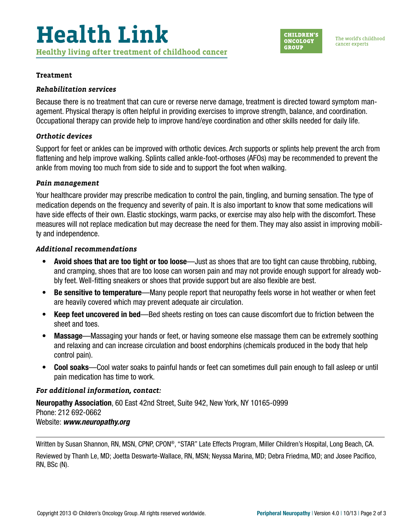

#### **Treatment**

#### *Rehabilitation services*

Because there is no treatment that can cure or reverse nerve damage, treatment is directed toward symptom management. Physical therapy is often helpful in providing exercises to improve strength, balance, and coordination. Occupational therapy can provide help to improve hand/eye coordination and other skills needed for daily life.

#### *Orthotic devices*

Support for feet or ankles can be improved with orthotic devices. Arch supports or splints help prevent the arch from flattening and help improve walking. Splints called ankle-foot-orthoses (AFOs) may be recommended to prevent the ankle from moving too much from side to side and to support the foot when walking.

#### *Pain management*

Your healthcare provider may prescribe medication to control the pain, tingling, and burning sensation. The type of medication depends on the frequency and severity of pain. It is also important to know that some medications will have side effects of their own. Elastic stockings, warm packs, or exercise may also help with the discomfort. These measures will not replace medication but may decrease the need for them. They may also assist in improving mobility and independence.

#### *Additional recommendations*

- Avoid shoes that are too tight or too loose—Just as shoes that are too tight can cause throbbing, rubbing, and cramping, shoes that are too loose can worsen pain and may not provide enough support for already wobbly feet. Well-fitting sneakers or shoes that provide support but are also flexible are best.
- Be sensitive to temperature—Many people report that neuropathy feels worse in hot weather or when feet are heavily covered which may prevent adequate air circulation.
- Keep feet uncovered in bed—Bed sheets resting on toes can cause discomfort due to friction between the sheet and toes.
- Massage—Massaging your hands or feet, or having someone else massage them can be extremely soothing and relaxing and can increase circulation and boost endorphins (chemicals produced in the body that help control pain).
- Cool soaks—Cool water soaks to painful hands or feet can sometimes dull pain enough to fall asleep or until pain medication has time to work.

### *For additional information, contact:*

Neuropathy Association, 60 East 42nd Street, Suite 942, New York, NY 10165-0999 Phone: 212 692-0662 Website: *[www.neuropathy.org](http://www.neuropathy.org)*

Written by Susan Shannon, RN, MSN, CPNP, CPON®, "STAR" Late Effects Program, Miller Children's Hospital, Long Beach, CA.

Reviewed by Thanh Le, MD; Joetta Deswarte-Wallace, RN, MSN; Neyssa Marina, MD; Debra Friedma, MD; and Josee Pacifico, RN, BSc (N).